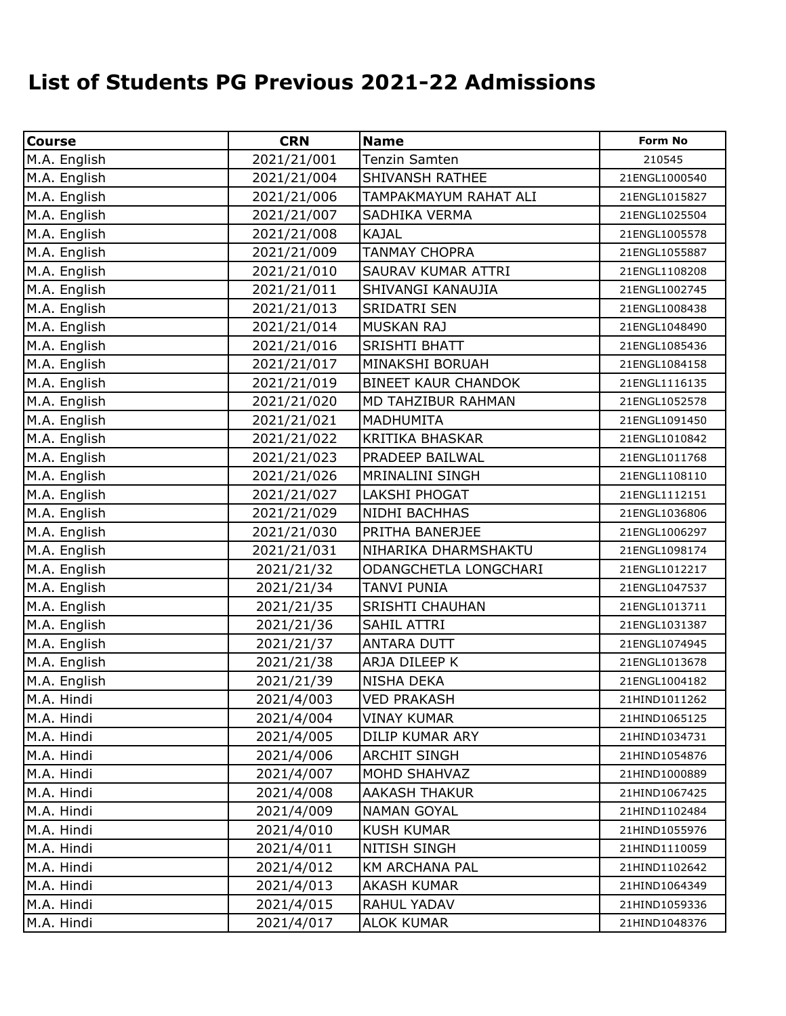## **List of Students PG Previous 2021-22 Admissions**

| <b>Course</b> | <b>CRN</b>  | <b>Name</b>                | <b>Form No</b> |
|---------------|-------------|----------------------------|----------------|
| M.A. English  | 2021/21/001 | <b>Tenzin Samten</b>       | 210545         |
| M.A. English  | 2021/21/004 | <b>SHIVANSH RATHEE</b>     | 21ENGL1000540  |
| M.A. English  | 2021/21/006 | TAMPAKMAYUM RAHAT ALI      | 21ENGL1015827  |
| M.A. English  | 2021/21/007 | SADHIKA VERMA              | 21ENGL1025504  |
| M.A. English  | 2021/21/008 | <b>KAJAL</b>               | 21ENGL1005578  |
| M.A. English  | 2021/21/009 | <b>TANMAY CHOPRA</b>       | 21ENGL1055887  |
| M.A. English  | 2021/21/010 | SAURAV KUMAR ATTRI         | 21ENGL1108208  |
| M.A. English  | 2021/21/011 | SHIVANGI KANAUJIA          | 21ENGL1002745  |
| M.A. English  | 2021/21/013 | <b>SRIDATRI SEN</b>        | 21ENGL1008438  |
| M.A. English  | 2021/21/014 | MUSKAN RAJ                 | 21ENGL1048490  |
| M.A. English  | 2021/21/016 | SRISHTI BHATT              | 21ENGL1085436  |
| M.A. English  | 2021/21/017 | MINAKSHI BORUAH            | 21ENGL1084158  |
| M.A. English  | 2021/21/019 | <b>BINEET KAUR CHANDOK</b> | 21ENGL1116135  |
| M.A. English  | 2021/21/020 | MD TAHZIBUR RAHMAN         | 21ENGL1052578  |
| M.A. English  | 2021/21/021 | <b>MADHUMITA</b>           | 21ENGL1091450  |
| M.A. English  | 2021/21/022 | <b>KRITIKA BHASKAR</b>     | 21ENGL1010842  |
| M.A. English  | 2021/21/023 | PRADEEP BAILWAL            | 21ENGL1011768  |
| M.A. English  | 2021/21/026 | <b>MRINALINI SINGH</b>     | 21ENGL1108110  |
| M.A. English  | 2021/21/027 | <b>LAKSHI PHOGAT</b>       | 21ENGL1112151  |
| M.A. English  | 2021/21/029 | NIDHI BACHHAS              | 21ENGL1036806  |
| M.A. English  | 2021/21/030 | PRITHA BANERJEE            | 21ENGL1006297  |
| M.A. English  | 2021/21/031 | NIHARIKA DHARMSHAKTU       | 21ENGL1098174  |
| M.A. English  | 2021/21/32  | ODANGCHETLA LONGCHARI      | 21ENGL1012217  |
| M.A. English  | 2021/21/34  | <b>TANVI PUNIA</b>         | 21ENGL1047537  |
| M.A. English  | 2021/21/35  | <b>SRISHTI CHAUHAN</b>     | 21ENGL1013711  |
| M.A. English  | 2021/21/36  | SAHIL ATTRI                | 21ENGL1031387  |
| M.A. English  | 2021/21/37  | <b>ANTARA DUTT</b>         | 21ENGL1074945  |
| M.A. English  | 2021/21/38  | ARJA DILEEP K              | 21ENGL1013678  |
| M.A. English  | 2021/21/39  | <b>NISHA DEKA</b>          | 21ENGL1004182  |
| M.A. Hindi    | 2021/4/003  | <b>VED PRAKASH</b>         | 21HIND1011262  |
| M.A. Hindi    | 2021/4/004  | <b>VINAY KUMAR</b>         | 21HIND1065125  |
| M.A. Hindi    | 2021/4/005  | DILIP KUMAR ARY            | 21HIND1034731  |
| M.A. Hindi    | 2021/4/006  | <b>ARCHIT SINGH</b>        | 21HIND1054876  |
| M.A. Hindi    | 2021/4/007  | MOHD SHAHVAZ               | 21HIND1000889  |
| M.A. Hindi    | 2021/4/008  | <b>AAKASH THAKUR</b>       | 21HIND1067425  |
| M.A. Hindi    | 2021/4/009  | <b>NAMAN GOYAL</b>         | 21HIND1102484  |
| M.A. Hindi    | 2021/4/010  | <b>KUSH KUMAR</b>          | 21HIND1055976  |
| M.A. Hindi    | 2021/4/011  | NITISH SINGH               | 21HIND1110059  |
| M.A. Hindi    | 2021/4/012  | <b>KM ARCHANA PAL</b>      | 21HIND1102642  |
| M.A. Hindi    | 2021/4/013  | <b>AKASH KUMAR</b>         | 21HIND1064349  |
| M.A. Hindi    | 2021/4/015  | RAHUL YADAV                | 21HIND1059336  |
| M.A. Hindi    | 2021/4/017  | <b>ALOK KUMAR</b>          | 21HIND1048376  |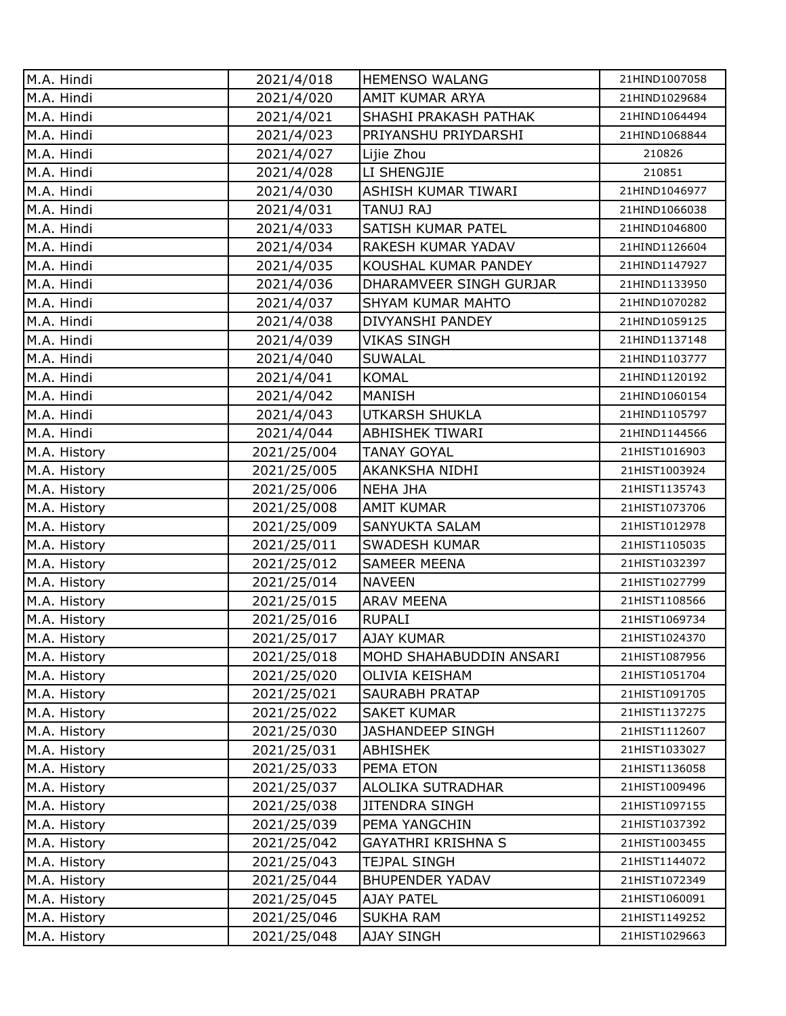| M.A. Hindi   | 2021/4/018  | <b>HEMENSO WALANG</b>      | 21HIND1007058 |
|--------------|-------------|----------------------------|---------------|
| M.A. Hindi   | 2021/4/020  | AMIT KUMAR ARYA            | 21HIND1029684 |
| M.A. Hindi   | 2021/4/021  | SHASHI PRAKASH PATHAK      | 21HIND1064494 |
| M.A. Hindi   | 2021/4/023  | PRIYANSHU PRIYDARSHI       | 21HIND1068844 |
| M.A. Hindi   | 2021/4/027  | Lijie Zhou                 | 210826        |
| M.A. Hindi   | 2021/4/028  | LI SHENGJIE                | 210851        |
| M.A. Hindi   | 2021/4/030  | <b>ASHISH KUMAR TIWARI</b> | 21HIND1046977 |
| M.A. Hindi   | 2021/4/031  | TANUJ RAJ                  | 21HIND1066038 |
| M.A. Hindi   | 2021/4/033  | SATISH KUMAR PATEL         | 21HIND1046800 |
| M.A. Hindi   | 2021/4/034  | RAKESH KUMAR YADAV         | 21HIND1126604 |
| M.A. Hindi   | 2021/4/035  | KOUSHAL KUMAR PANDEY       | 21HIND1147927 |
| M.A. Hindi   | 2021/4/036  | DHARAMVEER SINGH GURJAR    | 21HIND1133950 |
| M.A. Hindi   | 2021/4/037  | <b>SHYAM KUMAR MAHTO</b>   | 21HIND1070282 |
| M.A. Hindi   | 2021/4/038  | DIVYANSHI PANDEY           | 21HIND1059125 |
| M.A. Hindi   | 2021/4/039  | <b>VIKAS SINGH</b>         | 21HIND1137148 |
| M.A. Hindi   | 2021/4/040  | <b>SUWALAL</b>             | 21HIND1103777 |
| M.A. Hindi   | 2021/4/041  | <b>KOMAL</b>               | 21HIND1120192 |
| M.A. Hindi   | 2021/4/042  | <b>MANISH</b>              | 21HIND1060154 |
| M.A. Hindi   | 2021/4/043  | <b>UTKARSH SHUKLA</b>      | 21HIND1105797 |
| M.A. Hindi   | 2021/4/044  | ABHISHEK TIWARI            | 21HIND1144566 |
| M.A. History | 2021/25/004 | <b>TANAY GOYAL</b>         | 21HIST1016903 |
| M.A. History | 2021/25/005 | AKANKSHA NIDHI             | 21HIST1003924 |
| M.A. History | 2021/25/006 | <b>NEHA JHA</b>            | 21HIST1135743 |
| M.A. History | 2021/25/008 | <b>AMIT KUMAR</b>          | 21HIST1073706 |
| M.A. History | 2021/25/009 | SANYUKTA SALAM             | 21HIST1012978 |
| M.A. History | 2021/25/011 | <b>SWADESH KUMAR</b>       | 21HIST1105035 |
| M.A. History | 2021/25/012 | <b>SAMEER MEENA</b>        | 21HIST1032397 |
| M.A. History | 2021/25/014 | <b>NAVEEN</b>              | 21HIST1027799 |
| M.A. History | 2021/25/015 | <b>ARAV MEENA</b>          | 21HIST1108566 |
| M.A. History | 2021/25/016 | <b>RUPALI</b>              | 21HIST1069734 |
| M.A. History | 2021/25/017 | <b>AJAY KUMAR</b>          | 21HIST1024370 |
| M.A. History | 2021/25/018 | MOHD SHAHABUDDIN ANSARI    | 21HIST1087956 |
| M.A. History | 2021/25/020 | OLIVIA KEISHAM             | 21HIST1051704 |
| M.A. History | 2021/25/021 | SAURABH PRATAP             | 21HIST1091705 |
| M.A. History | 2021/25/022 | <b>SAKET KUMAR</b>         | 21HIST1137275 |
| M.A. History | 2021/25/030 | <b>JASHANDEEP SINGH</b>    | 21HIST1112607 |
| M.A. History | 2021/25/031 | <b>ABHISHEK</b>            | 21HIST1033027 |
| M.A. History | 2021/25/033 | PEMA ETON                  | 21HIST1136058 |
| M.A. History | 2021/25/037 | <b>ALOLIKA SUTRADHAR</b>   | 21HIST1009496 |
| M.A. History | 2021/25/038 | <b>JITENDRA SINGH</b>      | 21HIST1097155 |
| M.A. History | 2021/25/039 | PEMA YANGCHIN              | 21HIST1037392 |
| M.A. History | 2021/25/042 | <b>GAYATHRI KRISHNA S</b>  | 21HIST1003455 |
| M.A. History | 2021/25/043 | <b>TEJPAL SINGH</b>        | 21HIST1144072 |
| M.A. History | 2021/25/044 | <b>BHUPENDER YADAV</b>     | 21HIST1072349 |
| M.A. History | 2021/25/045 | <b>AJAY PATEL</b>          | 21HIST1060091 |
| M.A. History | 2021/25/046 | <b>SUKHA RAM</b>           | 21HIST1149252 |
| M.A. History | 2021/25/048 | AJAY SINGH                 | 21HIST1029663 |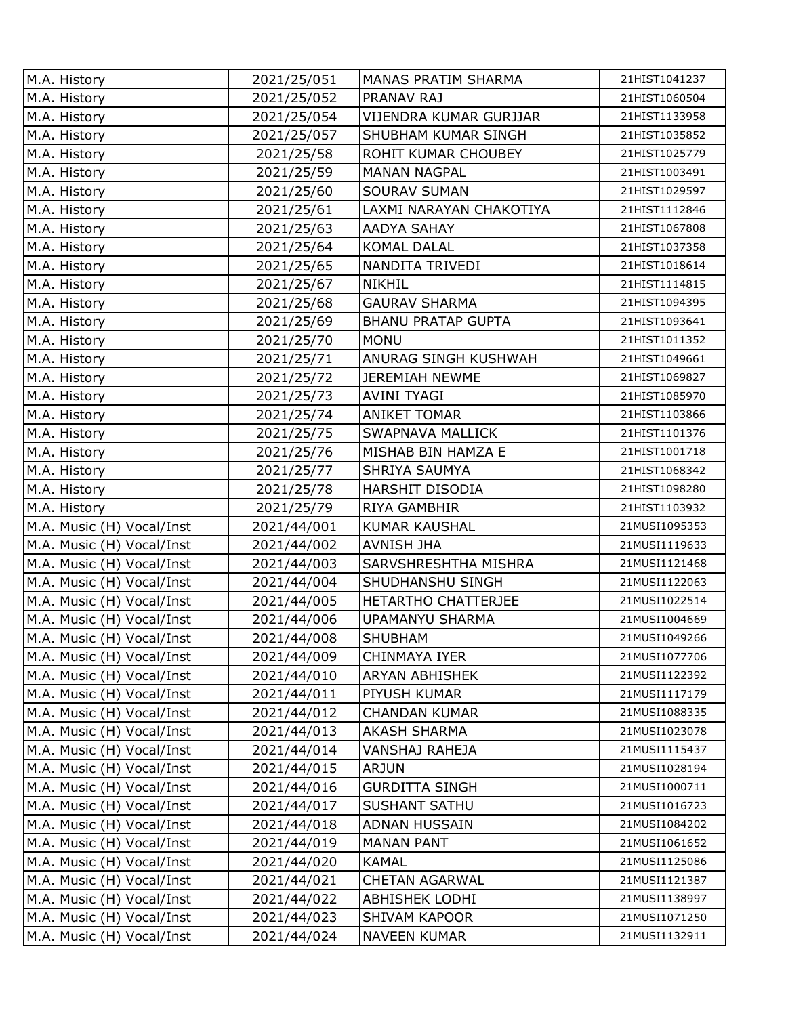| M.A. History              | 2021/25/051 | MANAS PRATIM SHARMA         | 21HIST1041237 |
|---------------------------|-------------|-----------------------------|---------------|
| M.A. History              | 2021/25/052 | <b>PRANAV RAJ</b>           | 21HIST1060504 |
| M.A. History              | 2021/25/054 | VIJENDRA KUMAR GURJJAR      | 21HIST1133958 |
| M.A. History              | 2021/25/057 | SHUBHAM KUMAR SINGH         | 21HIST1035852 |
| M.A. History              | 2021/25/58  | <b>ROHIT KUMAR CHOUBEY</b>  | 21HIST1025779 |
| M.A. History              | 2021/25/59  | <b>MANAN NAGPAL</b>         | 21HIST1003491 |
| M.A. History              | 2021/25/60  | <b>SOURAV SUMAN</b>         | 21HIST1029597 |
| M.A. History              | 2021/25/61  | LAXMI NARAYAN CHAKOTIYA     | 21HIST1112846 |
| M.A. History              | 2021/25/63  | <b>AADYA SAHAY</b>          | 21HIST1067808 |
| M.A. History              | 2021/25/64  | <b>KOMAL DALAL</b>          | 21HIST1037358 |
| M.A. History              | 2021/25/65  | NANDITA TRIVEDI             | 21HIST1018614 |
| M.A. History              | 2021/25/67  | <b>NIKHIL</b>               | 21HIST1114815 |
| M.A. History              | 2021/25/68  | <b>GAURAV SHARMA</b>        | 21HIST1094395 |
| M.A. History              | 2021/25/69  | <b>BHANU PRATAP GUPTA</b>   | 21HIST1093641 |
| M.A. History              | 2021/25/70  | <b>MONU</b>                 | 21HIST1011352 |
| M.A. History              | 2021/25/71  | <b>ANURAG SINGH KUSHWAH</b> | 21HIST1049661 |
| M.A. History              | 2021/25/72  | <b>JEREMIAH NEWME</b>       | 21HIST1069827 |
| M.A. History              | 2021/25/73  | <b>AVINI TYAGI</b>          | 21HIST1085970 |
| M.A. History              | 2021/25/74  | <b>ANIKET TOMAR</b>         | 21HIST1103866 |
| M.A. History              | 2021/25/75  | SWAPNAVA MALLICK            | 21HIST1101376 |
| M.A. History              | 2021/25/76  | MISHAB BIN HAMZA E          | 21HIST1001718 |
| M.A. History              | 2021/25/77  | SHRIYA SAUMYA               | 21HIST1068342 |
| M.A. History              | 2021/25/78  | <b>HARSHIT DISODIA</b>      | 21HIST1098280 |
| M.A. History              | 2021/25/79  | <b>RIYA GAMBHIR</b>         | 21HIST1103932 |
| M.A. Music (H) Vocal/Inst | 2021/44/001 | <b>KUMAR KAUSHAL</b>        | 21MUSI1095353 |
| M.A. Music (H) Vocal/Inst | 2021/44/002 | <b>AVNISH JHA</b>           | 21MUSI1119633 |
| M.A. Music (H) Vocal/Inst | 2021/44/003 | SARVSHRESHTHA MISHRA        | 21MUSI1121468 |
| M.A. Music (H) Vocal/Inst | 2021/44/004 | SHUDHANSHU SINGH            | 21MUSI1122063 |
| M.A. Music (H) Vocal/Inst | 2021/44/005 | HETARTHO CHATTERJEE         | 21MUSI1022514 |
| M.A. Music (H) Vocal/Inst | 2021/44/006 | <b>UPAMANYU SHARMA</b>      | 21MUSI1004669 |
| M.A. Music (H) Vocal/Inst | 2021/44/008 | <b>SHUBHAM</b>              | 21MUSI1049266 |
| M.A. Music (H) Vocal/Inst | 2021/44/009 | CHINMAYA IYER               | 21MUSI1077706 |
| M.A. Music (H) Vocal/Inst | 2021/44/010 | <b>ARYAN ABHISHEK</b>       | 21MUSI1122392 |
| M.A. Music (H) Vocal/Inst | 2021/44/011 | PIYUSH KUMAR                | 21MUSI1117179 |
| M.A. Music (H) Vocal/Inst | 2021/44/012 | <b>CHANDAN KUMAR</b>        | 21MUSI1088335 |
| M.A. Music (H) Vocal/Inst | 2021/44/013 | <b>AKASH SHARMA</b>         | 21MUSI1023078 |
| M.A. Music (H) Vocal/Inst | 2021/44/014 | VANSHAJ RAHEJA              | 21MUSI1115437 |
| M.A. Music (H) Vocal/Inst | 2021/44/015 | <b>ARJUN</b>                | 21MUSI1028194 |
| M.A. Music (H) Vocal/Inst | 2021/44/016 | <b>GURDITTA SINGH</b>       | 21MUSI1000711 |
| M.A. Music (H) Vocal/Inst | 2021/44/017 | <b>SUSHANT SATHU</b>        | 21MUSI1016723 |
| M.A. Music (H) Vocal/Inst | 2021/44/018 | ADNAN HUSSAIN               | 21MUSI1084202 |
| M.A. Music (H) Vocal/Inst | 2021/44/019 | <b>MANAN PANT</b>           | 21MUSI1061652 |
| M.A. Music (H) Vocal/Inst | 2021/44/020 | <b>KAMAL</b>                | 21MUSI1125086 |
| M.A. Music (H) Vocal/Inst | 2021/44/021 | <b>CHETAN AGARWAL</b>       | 21MUSI1121387 |
| M.A. Music (H) Vocal/Inst | 2021/44/022 | <b>ABHISHEK LODHI</b>       | 21MUSI1138997 |
| M.A. Music (H) Vocal/Inst | 2021/44/023 | <b>SHIVAM KAPOOR</b>        | 21MUSI1071250 |
| M.A. Music (H) Vocal/Inst | 2021/44/024 | <b>NAVEEN KUMAR</b>         | 21MUSI1132911 |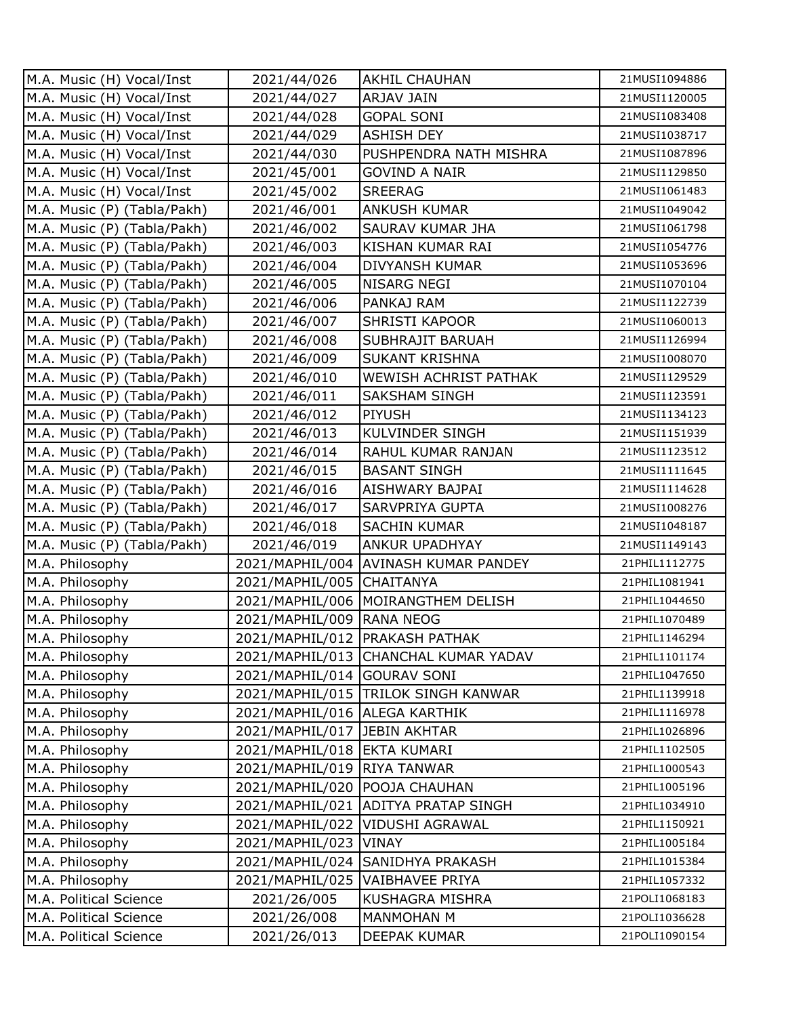| M.A. Music (H) Vocal/Inst   | 2021/44/026                   | <b>AKHIL CHAUHAN</b>                 | 21MUSI1094886 |
|-----------------------------|-------------------------------|--------------------------------------|---------------|
| M.A. Music (H) Vocal/Inst   | 2021/44/027                   | <b>ARJAV JAIN</b>                    | 21MUSI1120005 |
| M.A. Music (H) Vocal/Inst   | 2021/44/028                   | <b>GOPAL SONI</b>                    | 21MUSI1083408 |
| M.A. Music (H) Vocal/Inst   | 2021/44/029                   | <b>ASHISH DEY</b>                    | 21MUSI1038717 |
| M.A. Music (H) Vocal/Inst   | 2021/44/030                   | PUSHPENDRA NATH MISHRA               | 21MUSI1087896 |
| M.A. Music (H) Vocal/Inst   | 2021/45/001                   | <b>GOVIND A NAIR</b>                 | 21MUSI1129850 |
| M.A. Music (H) Vocal/Inst   | 2021/45/002                   | <b>SREERAG</b>                       | 21MUSI1061483 |
| M.A. Music (P) (Tabla/Pakh) | 2021/46/001                   | <b>ANKUSH KUMAR</b>                  | 21MUSI1049042 |
| M.A. Music (P) (Tabla/Pakh) | 2021/46/002                   | SAURAV KUMAR JHA                     | 21MUSI1061798 |
| M.A. Music (P) (Tabla/Pakh) | 2021/46/003                   | KISHAN KUMAR RAI                     | 21MUSI1054776 |
| M.A. Music (P) (Tabla/Pakh) | 2021/46/004                   | <b>DIVYANSH KUMAR</b>                | 21MUSI1053696 |
| M.A. Music (P) (Tabla/Pakh) | 2021/46/005                   | <b>NISARG NEGI</b>                   | 21MUSI1070104 |
| M.A. Music (P) (Tabla/Pakh) | 2021/46/006                   | PANKAJ RAM                           | 21MUSI1122739 |
| M.A. Music (P) (Tabla/Pakh) | 2021/46/007                   | <b>SHRISTI KAPOOR</b>                | 21MUSI1060013 |
| M.A. Music (P) (Tabla/Pakh) | 2021/46/008                   | SUBHRAJIT BARUAH                     | 21MUSI1126994 |
| M.A. Music (P) (Tabla/Pakh) | 2021/46/009                   | <b>SUKANT KRISHNA</b>                | 21MUSI1008070 |
| M.A. Music (P) (Tabla/Pakh) | 2021/46/010                   | WEWISH ACHRIST PATHAK                | 21MUSI1129529 |
| M.A. Music (P) (Tabla/Pakh) | 2021/46/011                   | <b>SAKSHAM SINGH</b>                 | 21MUSI1123591 |
| M.A. Music (P) (Tabla/Pakh) | 2021/46/012                   | PIYUSH                               | 21MUSI1134123 |
| M.A. Music (P) (Tabla/Pakh) | 2021/46/013                   | KULVINDER SINGH                      | 21MUSI1151939 |
| M.A. Music (P) (Tabla/Pakh) | 2021/46/014                   | RAHUL KUMAR RANJAN                   | 21MUSI1123512 |
| M.A. Music (P) (Tabla/Pakh) | 2021/46/015                   | <b>BASANT SINGH</b>                  | 21MUSI1111645 |
| M.A. Music (P) (Tabla/Pakh) | 2021/46/016                   | <b>AISHWARY BAJPAI</b>               | 21MUSI1114628 |
| M.A. Music (P) (Tabla/Pakh) | 2021/46/017                   | SARVPRIYA GUPTA                      | 21MUSI1008276 |
| M.A. Music (P) (Tabla/Pakh) | 2021/46/018                   | <b>SACHIN KUMAR</b>                  | 21MUSI1048187 |
| M.A. Music (P) (Tabla/Pakh) | 2021/46/019                   | <b>ANKUR UPADHYAY</b>                | 21MUSI1149143 |
| M.A. Philosophy             |                               | 2021/MAPHIL/004 AVINASH KUMAR PANDEY | 21PHIL1112775 |
| M.A. Philosophy             | 2021/MAPHIL/005 CHAITANYA     |                                      | 21PHIL1081941 |
| M.A. Philosophy             |                               | 2021/MAPHIL/006   MOIRANGTHEM DELISH | 21PHIL1044650 |
| M.A. Philosophy             | 2021/MAPHIL/009 RANA NEOG     |                                      | 21PHIL1070489 |
| M.A. Philosophy             |                               | 2021/MAPHIL/012 PRAKASH PATHAK       | 21PHIL1146294 |
| M.A. Philosophy             |                               | 2021/MAPHIL/013 CHANCHAL KUMAR YADAV | 21PHIL1101174 |
| M.A. Philosophy             | 2021/MAPHIL/014 GOURAV SONI   |                                      | 21PHIL1047650 |
| M.A. Philosophy             |                               | 2021/MAPHIL/015 TRILOK SINGH KANWAR  | 21PHIL1139918 |
| M.A. Philosophy             | 2021/MAPHIL/016 ALEGA KARTHIK |                                      | 21PHIL1116978 |
| M.A. Philosophy             | 2021/MAPHIL/017 JEBIN AKHTAR  |                                      | 21PHIL1026896 |
| M.A. Philosophy             | 2021/MAPHIL/018 EKTA KUMARI   |                                      | 21PHIL1102505 |
| M.A. Philosophy             | 2021/MAPHIL/019 RIYA TANWAR   |                                      | 21PHIL1000543 |
| M.A. Philosophy             | 2021/MAPHIL/020 POOJA CHAUHAN |                                      | 21PHIL1005196 |
| M.A. Philosophy             |                               | 2021/MAPHIL/021 ADITYA PRATAP SINGH  | 21PHIL1034910 |
| M.A. Philosophy             |                               | 2021/MAPHIL/022 VIDUSHI AGRAWAL      | 21PHIL1150921 |
| M.A. Philosophy             | 2021/MAPHIL/023 VINAY         |                                      | 21PHIL1005184 |
| M.A. Philosophy             | 2021/MAPHIL/024               | <b>SANIDHYA PRAKASH</b>              | 21PHIL1015384 |
| M.A. Philosophy             | 2021/MAPHIL/025               | <b>VAIBHAVEE PRIYA</b>               | 21PHIL1057332 |
| M.A. Political Science      | 2021/26/005                   | KUSHAGRA MISHRA                      | 21POLI1068183 |
| M.A. Political Science      | 2021/26/008                   | MANMOHAN M                           | 21POLI1036628 |
| M.A. Political Science      | 2021/26/013                   | DEEPAK KUMAR                         | 21POLI1090154 |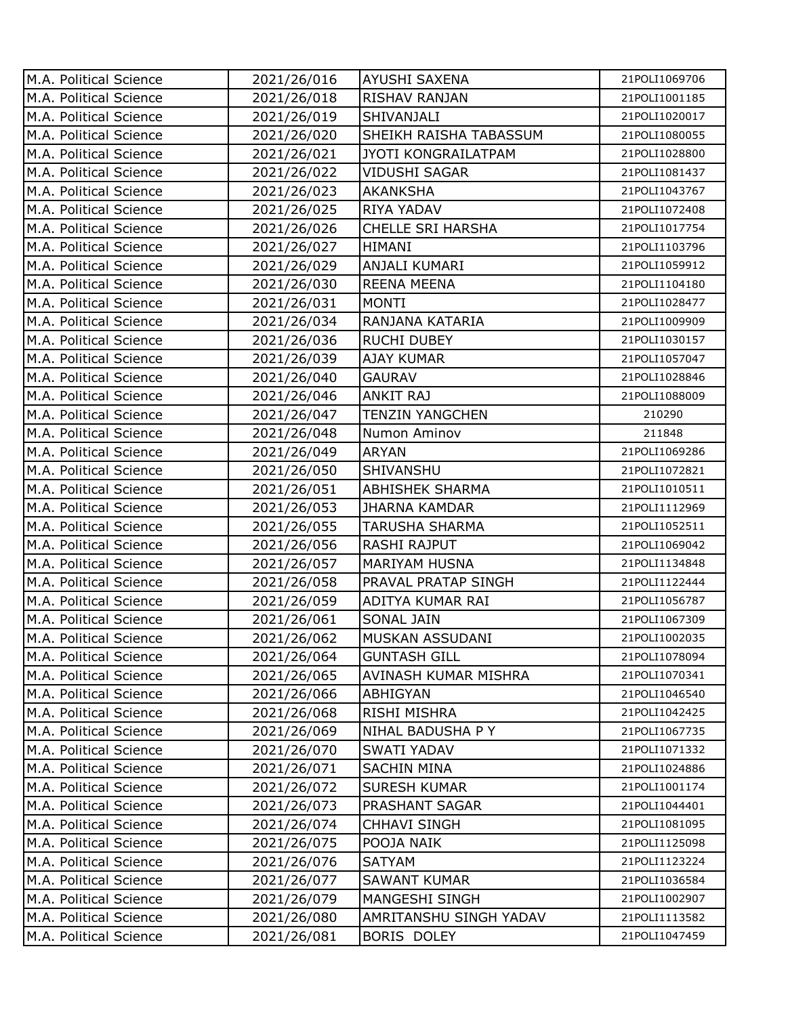| M.A. Political Science | 2021/26/016 | <b>AYUSHI SAXENA</b>       | 21POLI1069706 |
|------------------------|-------------|----------------------------|---------------|
| M.A. Political Science | 2021/26/018 | RISHAV RANJAN              | 21POLI1001185 |
| M.A. Political Science | 2021/26/019 | SHIVANJALI                 | 21POLI1020017 |
| M.A. Political Science | 2021/26/020 | SHEIKH RAISHA TABASSUM     | 21POLI1080055 |
| M.A. Political Science | 2021/26/021 | <b>JYOTI KONGRAILATPAM</b> | 21POLI1028800 |
| M.A. Political Science | 2021/26/022 | <b>VIDUSHI SAGAR</b>       | 21POLI1081437 |
| M.A. Political Science | 2021/26/023 | <b>AKANKSHA</b>            | 21POLI1043767 |
| M.A. Political Science | 2021/26/025 | RIYA YADAV                 | 21POLI1072408 |
| M.A. Political Science | 2021/26/026 | <b>CHELLE SRI HARSHA</b>   | 21POLI1017754 |
| M.A. Political Science | 2021/26/027 | <b>HIMANI</b>              | 21POLI1103796 |
| M.A. Political Science | 2021/26/029 | ANJALI KUMARI              | 21POLI1059912 |
| M.A. Political Science | 2021/26/030 | <b>REENA MEENA</b>         | 21POLI1104180 |
| M.A. Political Science | 2021/26/031 | <b>MONTI</b>               | 21POLI1028477 |
| M.A. Political Science | 2021/26/034 | RANJANA KATARIA            | 21POLI1009909 |
| M.A. Political Science | 2021/26/036 | <b>RUCHI DUBEY</b>         | 21POLI1030157 |
| M.A. Political Science | 2021/26/039 | <b>AJAY KUMAR</b>          | 21POLI1057047 |
| M.A. Political Science | 2021/26/040 | <b>GAURAV</b>              | 21POLI1028846 |
| M.A. Political Science | 2021/26/046 | <b>ANKIT RAJ</b>           | 21POLI1088009 |
| M.A. Political Science | 2021/26/047 | <b>TENZIN YANGCHEN</b>     | 210290        |
| M.A. Political Science | 2021/26/048 | Numon Aminov               | 211848        |
| M.A. Political Science | 2021/26/049 | <b>ARYAN</b>               | 21POLI1069286 |
| M.A. Political Science | 2021/26/050 | SHIVANSHU                  | 21POLI1072821 |
| M.A. Political Science | 2021/26/051 | <b>ABHISHEK SHARMA</b>     | 21POLI1010511 |
| M.A. Political Science | 2021/26/053 | <b>JHARNA KAMDAR</b>       | 21POLI1112969 |
| M.A. Political Science | 2021/26/055 | <b>TARUSHA SHARMA</b>      | 21POLI1052511 |
| M.A. Political Science | 2021/26/056 | <b>RASHI RAJPUT</b>        | 21POLI1069042 |
| M.A. Political Science | 2021/26/057 | <b>MARIYAM HUSNA</b>       | 21POLI1134848 |
| M.A. Political Science | 2021/26/058 | PRAVAL PRATAP SINGH        | 21POLI1122444 |
| M.A. Political Science | 2021/26/059 | ADITYA KUMAR RAI           | 21POLI1056787 |
| M.A. Political Science | 2021/26/061 | SONAL JAIN                 | 21POLI1067309 |
| M.A. Political Science | 2021/26/062 | <b>MUSKAN ASSUDANI</b>     | 21POLI1002035 |
| M.A. Political Science | 2021/26/064 | <b>GUNTASH GILL</b>        | 21POLI1078094 |
| M.A. Political Science | 2021/26/065 | AVINASH KUMAR MISHRA       | 21POLI1070341 |
| M.A. Political Science | 2021/26/066 | ABHIGYAN                   | 21POLI1046540 |
| M.A. Political Science | 2021/26/068 | RISHI MISHRA               | 21POLI1042425 |
| M.A. Political Science | 2021/26/069 | NIHAL BADUSHA P Y          | 21POLI1067735 |
| M.A. Political Science | 2021/26/070 | SWATI YADAV                | 21POLI1071332 |
| M.A. Political Science | 2021/26/071 | <b>SACHIN MINA</b>         | 21POLI1024886 |
| M.A. Political Science | 2021/26/072 | <b>SURESH KUMAR</b>        | 21POLI1001174 |
| M.A. Political Science | 2021/26/073 | PRASHANT SAGAR             | 21POLI1044401 |
| M.A. Political Science | 2021/26/074 | CHHAVI SINGH               | 21POLI1081095 |
| M.A. Political Science | 2021/26/075 | POOJA NAIK                 | 21POLI1125098 |
| M.A. Political Science | 2021/26/076 | <b>SATYAM</b>              | 21POLI1123224 |
| M.A. Political Science | 2021/26/077 | <b>SAWANT KUMAR</b>        | 21POLI1036584 |
| M.A. Political Science | 2021/26/079 | MANGESHI SINGH             | 21POLI1002907 |
| M.A. Political Science | 2021/26/080 | AMRITANSHU SINGH YADAV     | 21POLI1113582 |
| M.A. Political Science | 2021/26/081 | BORIS DOLEY                | 21POLI1047459 |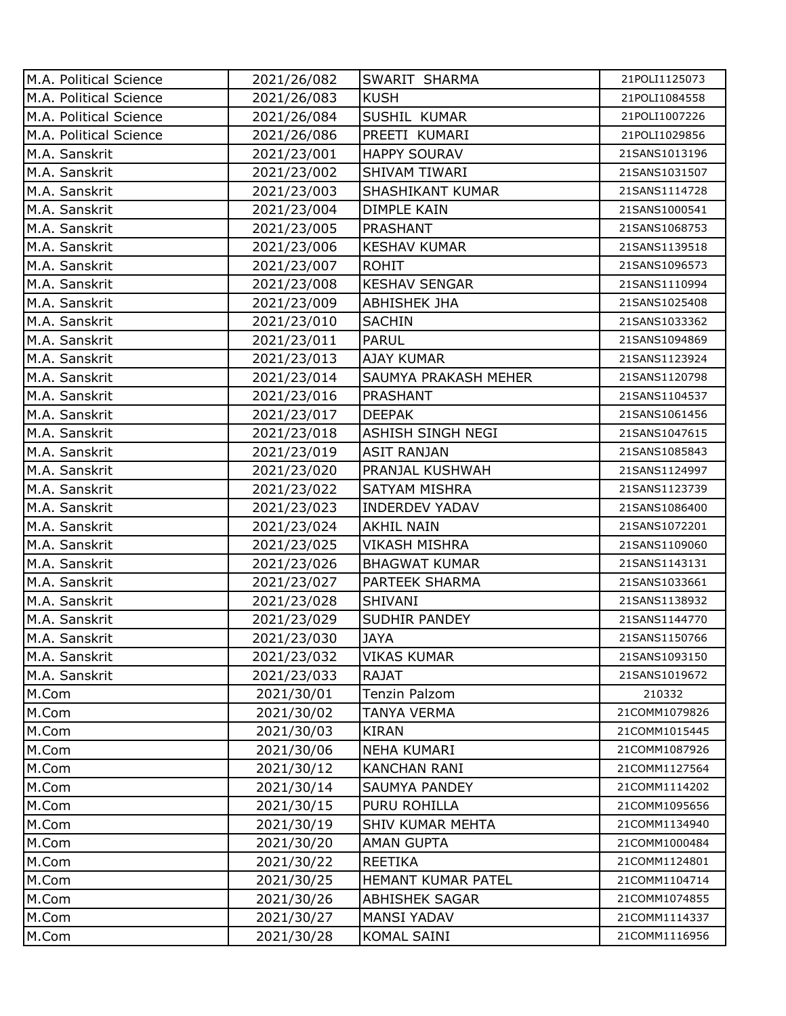| M.A. Political Science | 2021/26/082 | SWARIT SHARMA            | 21POLI1125073 |
|------------------------|-------------|--------------------------|---------------|
| M.A. Political Science | 2021/26/083 | <b>KUSH</b>              | 21POLI1084558 |
| M.A. Political Science | 2021/26/084 | SUSHIL KUMAR             | 21POLI1007226 |
| M.A. Political Science | 2021/26/086 | PREETI KUMARI            | 21POLI1029856 |
| M.A. Sanskrit          | 2021/23/001 | <b>HAPPY SOURAV</b>      | 21SANS1013196 |
| M.A. Sanskrit          | 2021/23/002 | SHIVAM TIWARI            | 21SANS1031507 |
| M.A. Sanskrit          | 2021/23/003 | SHASHIKANT KUMAR         | 21SANS1114728 |
| M.A. Sanskrit          | 2021/23/004 | DIMPLE KAIN              | 21SANS1000541 |
| M.A. Sanskrit          | 2021/23/005 | PRASHANT                 | 21SANS1068753 |
| M.A. Sanskrit          | 2021/23/006 | <b>KESHAV KUMAR</b>      | 21SANS1139518 |
| M.A. Sanskrit          | 2021/23/007 | <b>ROHIT</b>             | 21SANS1096573 |
| M.A. Sanskrit          | 2021/23/008 | <b>KESHAV SENGAR</b>     | 21SANS1110994 |
| M.A. Sanskrit          | 2021/23/009 | <b>ABHISHEK JHA</b>      | 21SANS1025408 |
| M.A. Sanskrit          | 2021/23/010 | <b>SACHIN</b>            | 21SANS1033362 |
| M.A. Sanskrit          | 2021/23/011 | <b>PARUL</b>             | 21SANS1094869 |
| M.A. Sanskrit          | 2021/23/013 | <b>AJAY KUMAR</b>        | 21SANS1123924 |
| M.A. Sanskrit          | 2021/23/014 | SAUMYA PRAKASH MEHER     | 21SANS1120798 |
| M.A. Sanskrit          | 2021/23/016 | PRASHANT                 | 21SANS1104537 |
| M.A. Sanskrit          | 2021/23/017 | <b>DEEPAK</b>            | 21SANS1061456 |
| M.A. Sanskrit          | 2021/23/018 | <b>ASHISH SINGH NEGI</b> | 21SANS1047615 |
| M.A. Sanskrit          | 2021/23/019 | <b>ASIT RANJAN</b>       | 21SANS1085843 |
| M.A. Sanskrit          | 2021/23/020 | PRANJAL KUSHWAH          | 21SANS1124997 |
| M.A. Sanskrit          | 2021/23/022 | SATYAM MISHRA            | 21SANS1123739 |
| M.A. Sanskrit          | 2021/23/023 | <b>INDERDEV YADAV</b>    | 21SANS1086400 |
| M.A. Sanskrit          | 2021/23/024 | <b>AKHIL NAIN</b>        | 21SANS1072201 |
| M.A. Sanskrit          | 2021/23/025 | <b>VIKASH MISHRA</b>     | 21SANS1109060 |
| M.A. Sanskrit          | 2021/23/026 | <b>BHAGWAT KUMAR</b>     | 21SANS1143131 |
| M.A. Sanskrit          | 2021/23/027 | <b>PARTEEK SHARMA</b>    | 21SANS1033661 |
| M.A. Sanskrit          | 2021/23/028 | SHIVANI                  | 21SANS1138932 |
| M.A. Sanskrit          | 2021/23/029 | <b>SUDHIR PANDEY</b>     | 21SANS1144770 |
| M.A. Sanskrit          | 2021/23/030 | <b>JAYA</b>              | 21SANS1150766 |
| M.A. Sanskrit          | 2021/23/032 | <b>VIKAS KUMAR</b>       | 21SANS1093150 |
| M.A. Sanskrit          | 2021/23/033 | <b>RAJAT</b>             | 21SANS1019672 |
| M.Com                  | 2021/30/01  | Tenzin Palzom            | 210332        |
| M.Com                  | 2021/30/02  | TANYA VERMA              | 21COMM1079826 |
| M.Com                  | 2021/30/03  | <b>KIRAN</b>             | 21COMM1015445 |
| M.Com                  | 2021/30/06  | <b>NEHA KUMARI</b>       | 21COMM1087926 |
| M.Com                  | 2021/30/12  | <b>KANCHAN RANI</b>      | 21COMM1127564 |
| M.Com                  | 2021/30/14  | SAUMYA PANDEY            | 21COMM1114202 |
| M.Com                  | 2021/30/15  | PURU ROHILLA             | 21COMM1095656 |
| M.Com                  | 2021/30/19  | SHIV KUMAR MEHTA         | 21COMM1134940 |
| M.Com                  | 2021/30/20  | <b>AMAN GUPTA</b>        | 21COMM1000484 |
| M.Com                  | 2021/30/22  | <b>REETIKA</b>           | 21COMM1124801 |
| M.Com                  | 2021/30/25  | HEMANT KUMAR PATEL       | 21COMM1104714 |
| M.Com                  | 2021/30/26  | <b>ABHISHEK SAGAR</b>    | 21COMM1074855 |
| M.Com                  | 2021/30/27  | <b>MANSI YADAV</b>       | 21COMM1114337 |
| M.Com                  | 2021/30/28  | KOMAL SAINI              | 21COMM1116956 |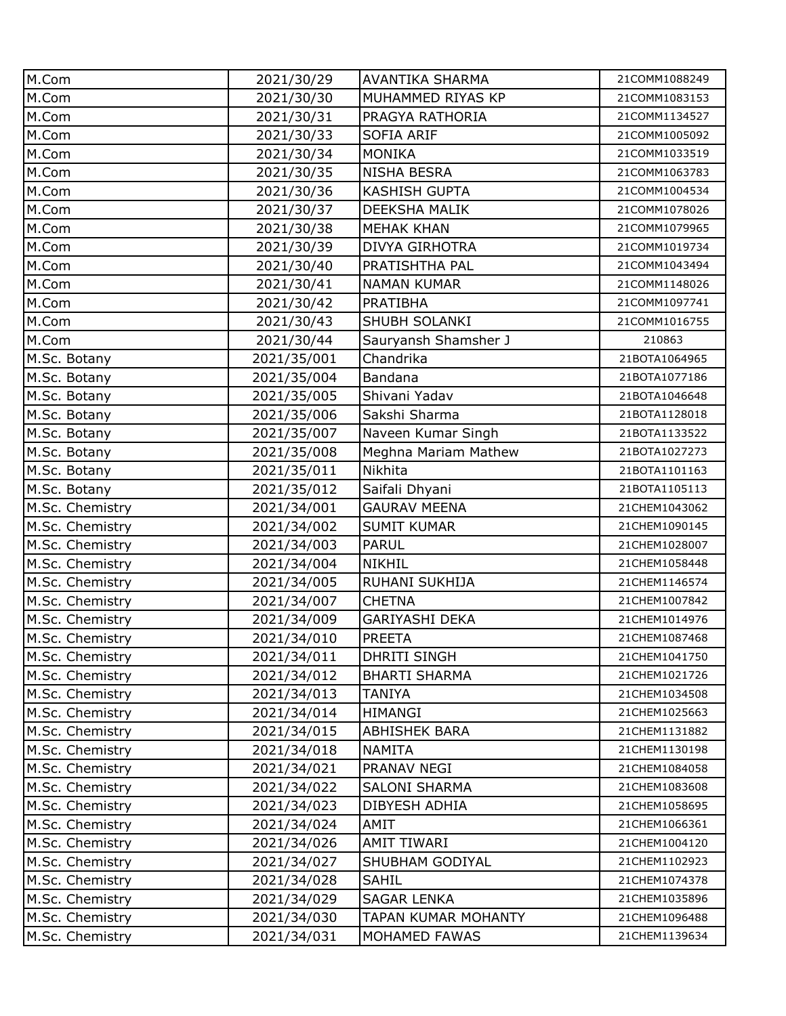| M.Com           | 2021/30/29  | AVANTIKA SHARMA      | 21COMM1088249 |
|-----------------|-------------|----------------------|---------------|
| M.Com           | 2021/30/30  | MUHAMMED RIYAS KP    | 21COMM1083153 |
| M.Com           | 2021/30/31  | PRAGYA RATHORIA      | 21COMM1134527 |
| M.Com           | 2021/30/33  | <b>SOFIA ARIF</b>    | 21COMM1005092 |
| M.Com           | 2021/30/34  | <b>MONIKA</b>        | 21COMM1033519 |
| M.Com           | 2021/30/35  | <b>NISHA BESRA</b>   | 21COMM1063783 |
| M.Com           | 2021/30/36  | <b>KASHISH GUPTA</b> | 21COMM1004534 |
| M.Com           | 2021/30/37  | DEEKSHA MALIK        | 21COMM1078026 |
| M.Com           | 2021/30/38  | <b>MEHAK KHAN</b>    | 21COMM1079965 |
| M.Com           | 2021/30/39  | DIVYA GIRHOTRA       | 21COMM1019734 |
| M.Com           | 2021/30/40  | PRATISHTHA PAL       | 21COMM1043494 |
| M.Com           | 2021/30/41  | <b>NAMAN KUMAR</b>   | 21COMM1148026 |
| M.Com           | 2021/30/42  | <b>PRATIBHA</b>      | 21COMM1097741 |
| M.Com           | 2021/30/43  | SHUBH SOLANKI        | 21COMM1016755 |
| M.Com           | 2021/30/44  | Sauryansh Shamsher J | 210863        |
| M.Sc. Botany    | 2021/35/001 | Chandrika            | 21BOTA1064965 |
| M.Sc. Botany    | 2021/35/004 | Bandana              | 21BOTA1077186 |
| M.Sc. Botany    | 2021/35/005 | Shivani Yadav        | 21BOTA1046648 |
| M.Sc. Botany    | 2021/35/006 | Sakshi Sharma        | 21BOTA1128018 |
| M.Sc. Botany    | 2021/35/007 | Naveen Kumar Singh   | 21BOTA1133522 |
| M.Sc. Botany    | 2021/35/008 | Meghna Mariam Mathew | 21BOTA1027273 |
| M.Sc. Botany    | 2021/35/011 | Nikhita              | 21BOTA1101163 |
| M.Sc. Botany    | 2021/35/012 | Saifali Dhyani       | 21BOTA1105113 |
| M.Sc. Chemistry | 2021/34/001 | <b>GAURAV MEENA</b>  | 21CHEM1043062 |
| M.Sc. Chemistry | 2021/34/002 | <b>SUMIT KUMAR</b>   | 21CHEM1090145 |
| M.Sc. Chemistry | 2021/34/003 | <b>PARUL</b>         | 21CHEM1028007 |
| M.Sc. Chemistry | 2021/34/004 | <b>NIKHIL</b>        | 21CHEM1058448 |
| M.Sc. Chemistry | 2021/34/005 | RUHANI SUKHIJA       | 21CHEM1146574 |
| M.Sc. Chemistry | 2021/34/007 | <b>CHETNA</b>        | 21CHEM1007842 |
| M.Sc. Chemistry | 2021/34/009 | GARIYASHI DEKA       | 21CHEM1014976 |
| M.Sc. Chemistry | 2021/34/010 | <b>PREETA</b>        | 21CHEM1087468 |
| M.Sc. Chemistry | 2021/34/011 | DHRITI SINGH         | 21CHEM1041750 |
| M.Sc. Chemistry | 2021/34/012 | <b>BHARTI SHARMA</b> | 21CHEM1021726 |
| M.Sc. Chemistry | 2021/34/013 | <b>TANIYA</b>        | 21CHEM1034508 |
| M.Sc. Chemistry | 2021/34/014 | <b>HIMANGI</b>       | 21CHEM1025663 |
| M.Sc. Chemistry | 2021/34/015 | <b>ABHISHEK BARA</b> | 21CHEM1131882 |
| M.Sc. Chemistry | 2021/34/018 | <b>NAMITA</b>        | 21CHEM1130198 |
| M.Sc. Chemistry | 2021/34/021 | PRANAV NEGI          | 21CHEM1084058 |
| M.Sc. Chemistry | 2021/34/022 | SALONI SHARMA        | 21CHEM1083608 |
| M.Sc. Chemistry | 2021/34/023 | DIBYESH ADHIA        | 21CHEM1058695 |
| M.Sc. Chemistry | 2021/34/024 | AMIT                 | 21CHEM1066361 |
| M.Sc. Chemistry | 2021/34/026 | <b>AMIT TIWARI</b>   | 21CHEM1004120 |
| M.Sc. Chemistry | 2021/34/027 | SHUBHAM GODIYAL      | 21CHEM1102923 |
| M.Sc. Chemistry | 2021/34/028 | <b>SAHIL</b>         | 21CHEM1074378 |
| M.Sc. Chemistry | 2021/34/029 | <b>SAGAR LENKA</b>   | 21CHEM1035896 |
| M.Sc. Chemistry | 2021/34/030 | TAPAN KUMAR MOHANTY  | 21CHEM1096488 |
| M.Sc. Chemistry | 2021/34/031 | MOHAMED FAWAS        | 21CHEM1139634 |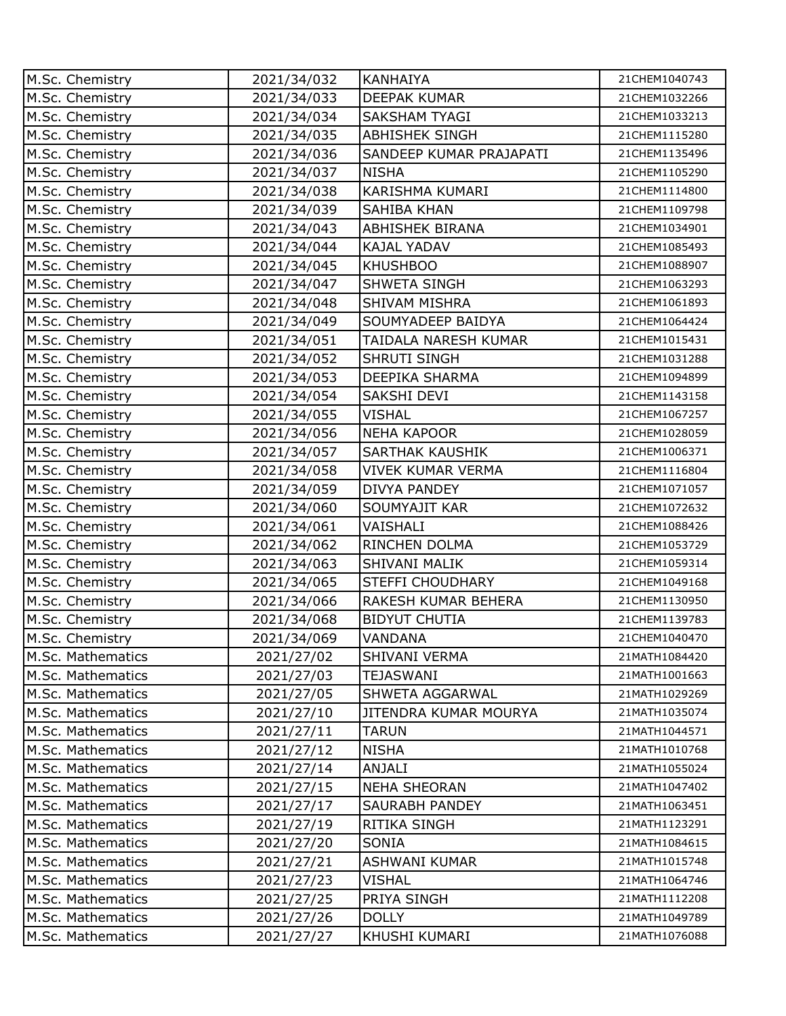| M.Sc. Chemistry   | 2021/34/032 | <b>KANHAIYA</b>              | 21CHEM1040743 |
|-------------------|-------------|------------------------------|---------------|
| M.Sc. Chemistry   | 2021/34/033 | <b>DEEPAK KUMAR</b>          | 21CHEM1032266 |
| M.Sc. Chemistry   | 2021/34/034 | <b>SAKSHAM TYAGI</b>         | 21CHEM1033213 |
| M.Sc. Chemistry   | 2021/34/035 | <b>ABHISHEK SINGH</b>        | 21CHEM1115280 |
| M.Sc. Chemistry   | 2021/34/036 | SANDEEP KUMAR PRAJAPATI      | 21CHEM1135496 |
| M.Sc. Chemistry   | 2021/34/037 | <b>NISHA</b>                 | 21CHEM1105290 |
| M.Sc. Chemistry   | 2021/34/038 | KARISHMA KUMARI              | 21CHEM1114800 |
| M.Sc. Chemistry   | 2021/34/039 | SAHIBA KHAN                  | 21CHEM1109798 |
| M.Sc. Chemistry   | 2021/34/043 | <b>ABHISHEK BIRANA</b>       | 21CHEM1034901 |
| M.Sc. Chemistry   | 2021/34/044 | KAJAL YADAV                  | 21CHEM1085493 |
| M.Sc. Chemistry   | 2021/34/045 | <b>KHUSHBOO</b>              | 21CHEM1088907 |
| M.Sc. Chemistry   | 2021/34/047 | SHWETA SINGH                 | 21CHEM1063293 |
| M.Sc. Chemistry   | 2021/34/048 | SHIVAM MISHRA                | 21CHEM1061893 |
| M.Sc. Chemistry   | 2021/34/049 | SOUMYADEEP BAIDYA            | 21CHEM1064424 |
| M.Sc. Chemistry   | 2021/34/051 | TAIDALA NARESH KUMAR         | 21CHEM1015431 |
| M.Sc. Chemistry   | 2021/34/052 | SHRUTI SINGH                 | 21CHEM1031288 |
| M.Sc. Chemistry   | 2021/34/053 | DEEPIKA SHARMA               | 21CHEM1094899 |
| M.Sc. Chemistry   | 2021/34/054 | SAKSHI DEVI                  | 21CHEM1143158 |
| M.Sc. Chemistry   | 2021/34/055 | <b>VISHAL</b>                | 21CHEM1067257 |
| M.Sc. Chemistry   | 2021/34/056 | <b>NEHA KAPOOR</b>           | 21CHEM1028059 |
| M.Sc. Chemistry   | 2021/34/057 | SARTHAK KAUSHIK              | 21CHEM1006371 |
| M.Sc. Chemistry   | 2021/34/058 | VIVEK KUMAR VERMA            | 21CHEM1116804 |
| M.Sc. Chemistry   | 2021/34/059 | DIVYA PANDEY                 | 21CHEM1071057 |
| M.Sc. Chemistry   | 2021/34/060 | SOUMYAJIT KAR                | 21CHEM1072632 |
| M.Sc. Chemistry   | 2021/34/061 | VAISHALI                     | 21CHEM1088426 |
| M.Sc. Chemistry   | 2021/34/062 | RINCHEN DOLMA                | 21CHEM1053729 |
| M.Sc. Chemistry   | 2021/34/063 | SHIVANI MALIK                | 21CHEM1059314 |
| M.Sc. Chemistry   | 2021/34/065 | <b>STEFFI CHOUDHARY</b>      | 21CHEM1049168 |
| M.Sc. Chemistry   | 2021/34/066 | RAKESH KUMAR BEHERA          | 21CHEM1130950 |
| M.Sc. Chemistry   | 2021/34/068 | <b>BIDYUT CHUTIA</b>         | 21CHEM1139783 |
| M.Sc. Chemistry   | 2021/34/069 | <b>VANDANA</b>               | 21CHEM1040470 |
| M.Sc. Mathematics | 2021/27/02  | <b>SHIVANI VERMA</b>         | 21MATH1084420 |
| M.Sc. Mathematics | 2021/27/03  | <b>TEJASWANI</b>             | 21MATH1001663 |
| M.Sc. Mathematics | 2021/27/05  | SHWETA AGGARWAL              | 21MATH1029269 |
| M.Sc. Mathematics | 2021/27/10  | <b>JITENDRA KUMAR MOURYA</b> | 21MATH1035074 |
| M.Sc. Mathematics | 2021/27/11  | <b>TARUN</b>                 | 21MATH1044571 |
| M.Sc. Mathematics | 2021/27/12  | <b>NISHA</b>                 | 21MATH1010768 |
| M.Sc. Mathematics | 2021/27/14  | <b>ANJALI</b>                | 21MATH1055024 |
| M.Sc. Mathematics | 2021/27/15  | <b>NEHA SHEORAN</b>          | 21MATH1047402 |
| M.Sc. Mathematics | 2021/27/17  | SAURABH PANDEY               | 21MATH1063451 |
| M.Sc. Mathematics | 2021/27/19  | RITIKA SINGH                 | 21MATH1123291 |
| M.Sc. Mathematics | 2021/27/20  | SONIA                        | 21MATH1084615 |
| M.Sc. Mathematics | 2021/27/21  | <b>ASHWANI KUMAR</b>         | 21MATH1015748 |
| M.Sc. Mathematics | 2021/27/23  | <b>VISHAL</b>                | 21MATH1064746 |
| M.Sc. Mathematics | 2021/27/25  | PRIYA SINGH                  | 21MATH1112208 |
| M.Sc. Mathematics | 2021/27/26  | <b>DOLLY</b>                 | 21MATH1049789 |
| M.Sc. Mathematics | 2021/27/27  | KHUSHI KUMARI                | 21MATH1076088 |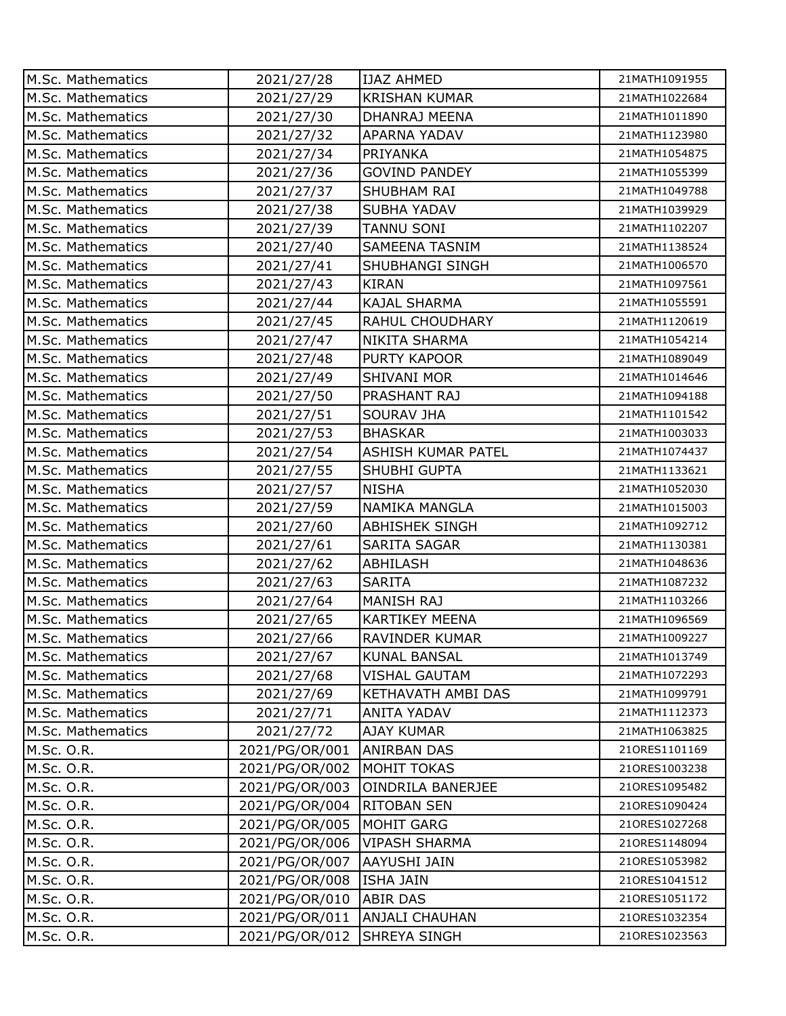| M.Sc. Mathematics | 2021/27/28     | <b>IJAZ AHMED</b>     | 21MATH1091955 |
|-------------------|----------------|-----------------------|---------------|
| M.Sc. Mathematics | 2021/27/29     | <b>KRISHAN KUMAR</b>  | 21MATH1022684 |
| M.Sc. Mathematics | 2021/27/30     | <b>DHANRAJ MEENA</b>  | 21MATH1011890 |
| M.Sc. Mathematics | 2021/27/32     | APARNA YADAV          | 21MATH1123980 |
| M.Sc. Mathematics | 2021/27/34     | PRIYANKA              | 21MATH1054875 |
| M.Sc. Mathematics | 2021/27/36     | <b>GOVIND PANDEY</b>  | 21MATH1055399 |
| M.Sc. Mathematics | 2021/27/37     | SHUBHAM RAI           | 21MATH1049788 |
| M.Sc. Mathematics | 2021/27/38     | <b>SUBHA YADAV</b>    | 21MATH1039929 |
| M.Sc. Mathematics | 2021/27/39     | <b>TANNU SONI</b>     | 21MATH1102207 |
| M.Sc. Mathematics | 2021/27/40     | <b>SAMEENA TASNIM</b> | 21MATH1138524 |
| M.Sc. Mathematics | 2021/27/41     | SHUBHANGI SINGH       | 21MATH1006570 |
| M.Sc. Mathematics | 2021/27/43     | <b>KIRAN</b>          | 21MATH1097561 |
| M.Sc. Mathematics | 2021/27/44     | <b>KAJAL SHARMA</b>   | 21MATH1055591 |
| M.Sc. Mathematics | 2021/27/45     | RAHUL CHOUDHARY       | 21MATH1120619 |
| M.Sc. Mathematics | 2021/27/47     | NIKITA SHARMA         | 21MATH1054214 |
| M.Sc. Mathematics | 2021/27/48     | <b>PURTY KAPOOR</b>   | 21MATH1089049 |
| M.Sc. Mathematics | 2021/27/49     | <b>SHIVANI MOR</b>    | 21MATH1014646 |
| M.Sc. Mathematics | 2021/27/50     | PRASHANT RAJ          | 21MATH1094188 |
| M.Sc. Mathematics | 2021/27/51     | <b>SOURAV JHA</b>     | 21MATH1101542 |
| M.Sc. Mathematics | 2021/27/53     | <b>BHASKAR</b>        | 21MATH1003033 |
| M.Sc. Mathematics | 2021/27/54     | ASHISH KUMAR PATEL    | 21MATH1074437 |
| M.Sc. Mathematics | 2021/27/55     | SHUBHI GUPTA          | 21MATH1133621 |
| M.Sc. Mathematics | 2021/27/57     | <b>NISHA</b>          | 21MATH1052030 |
| M.Sc. Mathematics | 2021/27/59     | NAMIKA MANGLA         | 21MATH1015003 |
| M.Sc. Mathematics | 2021/27/60     | <b>ABHISHEK SINGH</b> | 21MATH1092712 |
| M.Sc. Mathematics | 2021/27/61     | SARITA SAGAR          | 21MATH1130381 |
| M.Sc. Mathematics | 2021/27/62     | ABHILASH              | 21MATH1048636 |
| M.Sc. Mathematics | 2021/27/63     | <b>SARITA</b>         | 21MATH1087232 |
| M.Sc. Mathematics | 2021/27/64     | <b>MANISH RAJ</b>     | 21MATH1103266 |
| M.Sc. Mathematics | 2021/27/65     | <b>KARTIKEY MEENA</b> | 21MATH1096569 |
| M.Sc. Mathematics | 2021/27/66     | <b>RAVINDER KUMAR</b> | 21MATH1009227 |
| M.Sc. Mathematics | 2021/27/67     | <b>KUNAL BANSAL</b>   | 21MATH1013749 |
| M.Sc. Mathematics | 2021/27/68     | <b>VISHAL GAUTAM</b>  | 21MATH1072293 |
| M.Sc. Mathematics | 2021/27/69     | KETHAVATH AMBI DAS    | 21MATH1099791 |
| M.Sc. Mathematics | 2021/27/71     | <b>ANITA YADAV</b>    | 21MATH1112373 |
| M.Sc. Mathematics | 2021/27/72     | <b>AJAY KUMAR</b>     | 21MATH1063825 |
| M.Sc. O.R.        | 2021/PG/OR/001 | <b>ANIRBAN DAS</b>    | 210RES1101169 |
| M.Sc. O.R.        | 2021/PG/OR/002 | MOHIT TOKAS           | 210RES1003238 |
| M.Sc. O.R.        | 2021/PG/OR/003 | OINDRILA BANERJEE     | 210RES1095482 |
| M.Sc. O.R.        | 2021/PG/OR/004 | <b>RITOBAN SEN</b>    | 210RES1090424 |
| M.Sc. O.R.        | 2021/PG/OR/005 | <b>MOHIT GARG</b>     | 210RES1027268 |
| M.Sc. O.R.        | 2021/PG/OR/006 | <b>VIPASH SHARMA</b>  | 210RES1148094 |
| M.Sc. O.R.        | 2021/PG/OR/007 | <b>AAYUSHI JAIN</b>   | 210RES1053982 |
| M.Sc. O.R.        | 2021/PG/OR/008 | <b>ISHA JAIN</b>      | 210RES1041512 |
| M.Sc. O.R.        | 2021/PG/OR/010 | <b>ABIR DAS</b>       | 210RES1051172 |
| M.Sc. O.R.        | 2021/PG/OR/011 | <b>ANJALI CHAUHAN</b> | 210RES1032354 |
| M.Sc. O.R.        | 2021/PG/OR/012 | <b>SHREYA SINGH</b>   | 210RES1023563 |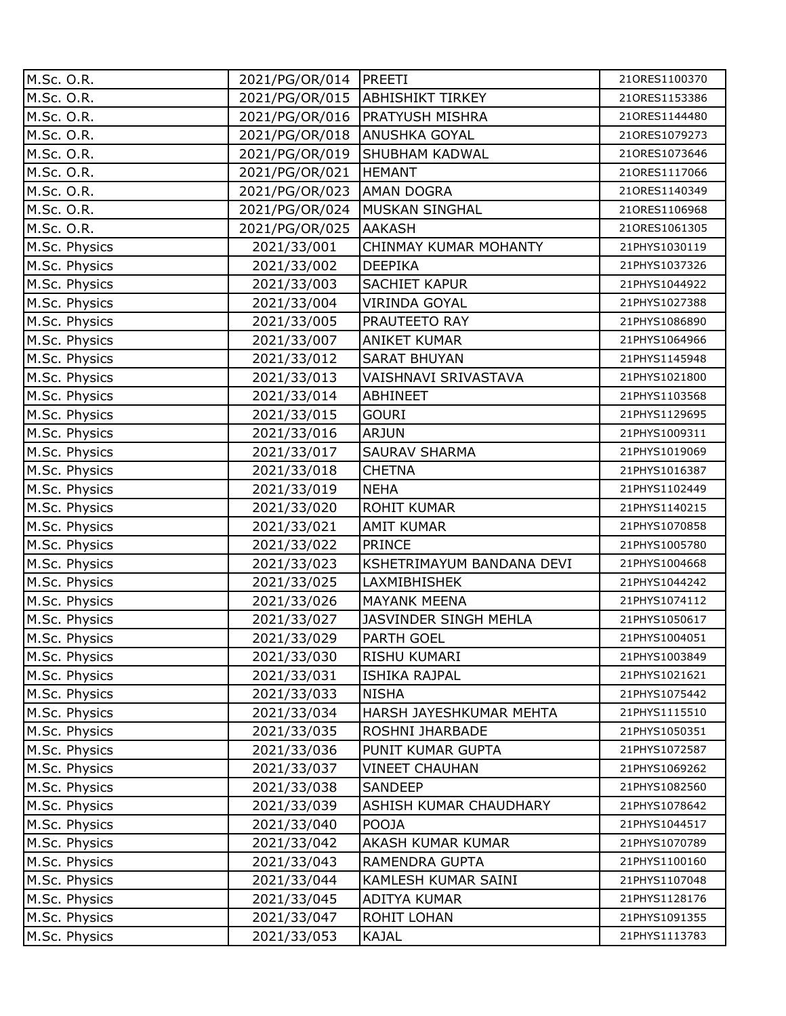| M.Sc. O.R.    | 2021/PG/OR/014   PREETI |                                 | 210RES1100370 |
|---------------|-------------------------|---------------------------------|---------------|
| M.Sc. O.R.    |                         | 2021/PG/OR/015 ABHISHIKT TIRKEY | 210RES1153386 |
| M.Sc. O.R.    | 2021/PG/OR/016          | <b>PRATYUSH MISHRA</b>          | 210RES1144480 |
| M.Sc. O.R.    | 2021/PG/OR/018          | <b>ANUSHKA GOYAL</b>            | 210RES1079273 |
| M.Sc. O.R.    | 2021/PG/OR/019          | <b>SHUBHAM KADWAL</b>           | 210RES1073646 |
| M.Sc. O.R.    | 2021/PG/OR/021          | <b>HEMANT</b>                   | 210RES1117066 |
| M.Sc. O.R.    | 2021/PG/OR/023          | <b>AMAN DOGRA</b>               | 210RES1140349 |
| M.Sc. O.R.    | 2021/PG/OR/024          | <b>MUSKAN SINGHAL</b>           | 210RES1106968 |
| M.Sc. O.R.    | 2021/PG/OR/025          | <b>AAKASH</b>                   | 210RES1061305 |
| M.Sc. Physics | 2021/33/001             | CHINMAY KUMAR MOHANTY           | 21PHYS1030119 |
| M.Sc. Physics | 2021/33/002             | <b>DEEPIKA</b>                  | 21PHYS1037326 |
| M.Sc. Physics | 2021/33/003             | SACHIET KAPUR                   | 21PHYS1044922 |
| M.Sc. Physics | 2021/33/004             | VIRINDA GOYAL                   | 21PHYS1027388 |
| M.Sc. Physics | 2021/33/005             | PRAUTEETO RAY                   | 21PHYS1086890 |
| M.Sc. Physics | 2021/33/007             | <b>ANIKET KUMAR</b>             | 21PHYS1064966 |
| M.Sc. Physics | 2021/33/012             | <b>SARAT BHUYAN</b>             | 21PHYS1145948 |
| M.Sc. Physics | 2021/33/013             | VAISHNAVI SRIVASTAVA            | 21PHYS1021800 |
| M.Sc. Physics | 2021/33/014             | <b>ABHINEET</b>                 | 21PHYS1103568 |
| M.Sc. Physics | 2021/33/015             | <b>GOURI</b>                    | 21PHYS1129695 |
| M.Sc. Physics | 2021/33/016             | <b>ARJUN</b>                    | 21PHYS1009311 |
| M.Sc. Physics | 2021/33/017             | <b>SAURAV SHARMA</b>            | 21PHYS1019069 |
| M.Sc. Physics | 2021/33/018             | <b>CHETNA</b>                   | 21PHYS1016387 |
| M.Sc. Physics | 2021/33/019             | <b>NEHA</b>                     | 21PHYS1102449 |
| M.Sc. Physics | 2021/33/020             | <b>ROHIT KUMAR</b>              | 21PHYS1140215 |
| M.Sc. Physics | 2021/33/021             | <b>AMIT KUMAR</b>               | 21PHYS1070858 |
| M.Sc. Physics | 2021/33/022             | <b>PRINCE</b>                   | 21PHYS1005780 |
| M.Sc. Physics | 2021/33/023             | KSHETRIMAYUM BANDANA DEVI       | 21PHYS1004668 |
| M.Sc. Physics | 2021/33/025             | <b>LAXMIBHISHEK</b>             | 21PHYS1044242 |
| M.Sc. Physics | 2021/33/026             | <b>MAYANK MEENA</b>             | 21PHYS1074112 |
| M.Sc. Physics | 2021/33/027             | JASVINDER SINGH MEHLA           | 21PHYS1050617 |
| M.Sc. Physics | 2021/33/029             | <b>PARTH GOEL</b>               | 21PHYS1004051 |
| M.Sc. Physics | 2021/33/030             | RISHU KUMARI                    | 21PHYS1003849 |
| M.Sc. Physics | 2021/33/031             | <b>ISHIKA RAJPAL</b>            | 21PHYS1021621 |
| M.Sc. Physics | 2021/33/033             | <b>NISHA</b>                    | 21PHYS1075442 |
| M.Sc. Physics | 2021/33/034             | HARSH JAYESHKUMAR MEHTA         | 21PHYS1115510 |
| M.Sc. Physics | 2021/33/035             | ROSHNI JHARBADE                 | 21PHYS1050351 |
| M.Sc. Physics | 2021/33/036             | PUNIT KUMAR GUPTA               | 21PHYS1072587 |
| M.Sc. Physics | 2021/33/037             | <b>VINEET CHAUHAN</b>           | 21PHYS1069262 |
| M.Sc. Physics | 2021/33/038             | SANDEEP                         | 21PHYS1082560 |
| M.Sc. Physics | 2021/33/039             | ASHISH KUMAR CHAUDHARY          | 21PHYS1078642 |
| M.Sc. Physics | 2021/33/040             | POOJA                           | 21PHYS1044517 |
| M.Sc. Physics | 2021/33/042             | AKASH KUMAR KUMAR               | 21PHYS1070789 |
| M.Sc. Physics | 2021/33/043             | RAMENDRA GUPTA                  | 21PHYS1100160 |
| M.Sc. Physics | 2021/33/044             | KAMLESH KUMAR SAINI             | 21PHYS1107048 |
| M.Sc. Physics | 2021/33/045             | ADITYA KUMAR                    | 21PHYS1128176 |
| M.Sc. Physics | 2021/33/047             | ROHIT LOHAN                     | 21PHYS1091355 |
| M.Sc. Physics | 2021/33/053             | <b>KAJAL</b>                    | 21PHYS1113783 |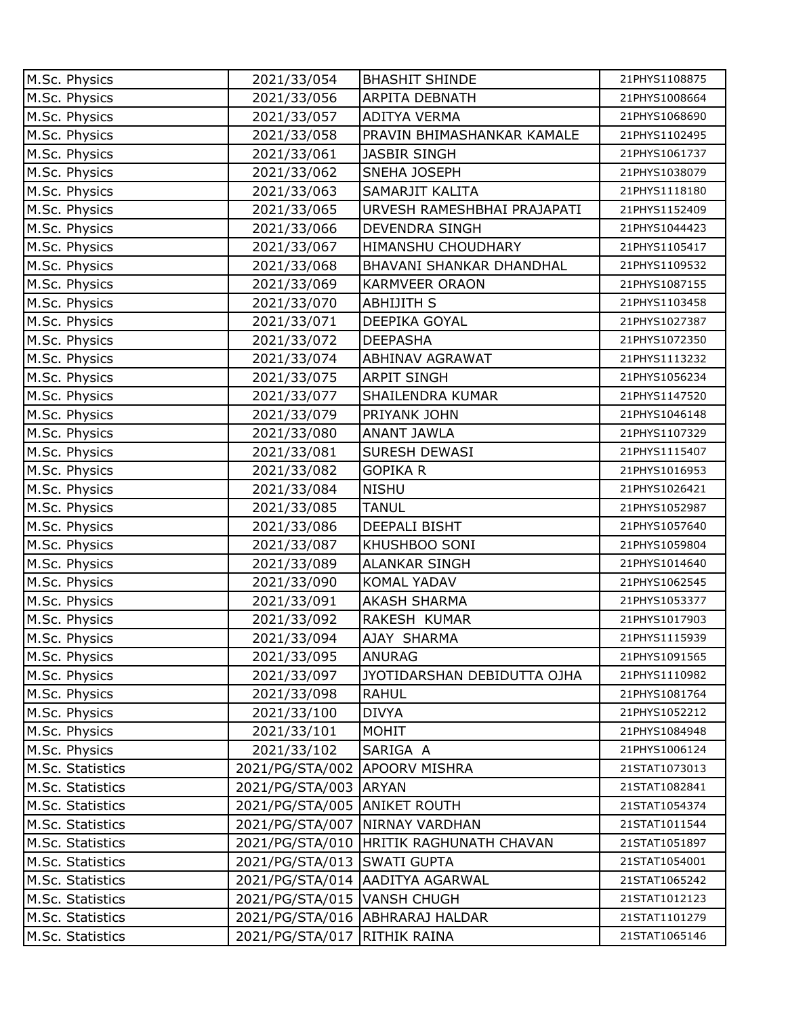| M.Sc. Physics    | 2021/33/054                   | <b>BHASHIT SHINDE</b>             | 21PHYS1108875 |
|------------------|-------------------------------|-----------------------------------|---------------|
| M.Sc. Physics    | 2021/33/056                   | <b>ARPITA DEBNATH</b>             | 21PHYS1008664 |
| M.Sc. Physics    | 2021/33/057                   | <b>ADITYA VERMA</b>               | 21PHYS1068690 |
| M.Sc. Physics    | 2021/33/058                   | PRAVIN BHIMASHANKAR KAMALE        | 21PHYS1102495 |
| M.Sc. Physics    | 2021/33/061                   | <b>JASBIR SINGH</b>               | 21PHYS1061737 |
| M.Sc. Physics    | 2021/33/062                   | SNEHA JOSEPH                      | 21PHYS1038079 |
| M.Sc. Physics    | 2021/33/063                   | SAMARJIT KALITA                   | 21PHYS1118180 |
| M.Sc. Physics    | 2021/33/065                   | URVESH RAMESHBHAI PRAJAPATI       | 21PHYS1152409 |
| M.Sc. Physics    | 2021/33/066                   | <b>DEVENDRA SINGH</b>             | 21PHYS1044423 |
| M.Sc. Physics    | 2021/33/067                   | HIMANSHU CHOUDHARY                | 21PHYS1105417 |
| M.Sc. Physics    | 2021/33/068                   | BHAVANI SHANKAR DHANDHAL          | 21PHYS1109532 |
| M.Sc. Physics    | 2021/33/069                   | <b>KARMVEER ORAON</b>             | 21PHYS1087155 |
| M.Sc. Physics    | 2021/33/070                   | <b>ABHIJITH S</b>                 | 21PHYS1103458 |
| M.Sc. Physics    | 2021/33/071                   | DEEPIKA GOYAL                     | 21PHYS1027387 |
| M.Sc. Physics    | 2021/33/072                   | <b>DEEPASHA</b>                   | 21PHYS1072350 |
| M.Sc. Physics    | 2021/33/074                   | ABHINAV AGRAWAT                   | 21PHYS1113232 |
| M.Sc. Physics    | 2021/33/075                   | <b>ARPIT SINGH</b>                | 21PHYS1056234 |
| M.Sc. Physics    | 2021/33/077                   | SHAILENDRA KUMAR                  | 21PHYS1147520 |
| M.Sc. Physics    | 2021/33/079                   | PRIYANK JOHN                      | 21PHYS1046148 |
| M.Sc. Physics    | 2021/33/080                   | <b>ANANT JAWLA</b>                | 21PHYS1107329 |
| M.Sc. Physics    | 2021/33/081                   | SURESH DEWASI                     | 21PHYS1115407 |
| M.Sc. Physics    | 2021/33/082                   | <b>GOPIKA R</b>                   | 21PHYS1016953 |
| M.Sc. Physics    | 2021/33/084                   | <b>NISHU</b>                      | 21PHYS1026421 |
| M.Sc. Physics    | 2021/33/085                   | <b>TANUL</b>                      | 21PHYS1052987 |
| M.Sc. Physics    | 2021/33/086                   | DEEPALI BISHT                     | 21PHYS1057640 |
| M.Sc. Physics    | 2021/33/087                   | KHUSHBOO SONI                     | 21PHYS1059804 |
| M.Sc. Physics    | 2021/33/089                   | <b>ALANKAR SINGH</b>              | 21PHYS1014640 |
| M.Sc. Physics    | 2021/33/090                   | KOMAL YADAV                       | 21PHYS1062545 |
| M.Sc. Physics    | 2021/33/091                   | <b>AKASH SHARMA</b>               | 21PHYS1053377 |
| M.Sc. Physics    | 2021/33/092                   | RAKESH KUMAR                      | 21PHYS1017903 |
| M.Sc. Physics    | 2021/33/094                   | AJAY SHARMA                       | 21PHYS1115939 |
| M.Sc. Physics    | 2021/33/095                   | <b>ANURAG</b>                     | 21PHYS1091565 |
| M.Sc. Physics    | 2021/33/097                   | JYOTIDARSHAN DEBIDUTTA OJHA       | 21PHYS1110982 |
| M.Sc. Physics    | 2021/33/098                   | <b>RAHUL</b>                      | 21PHYS1081764 |
| M.Sc. Physics    | 2021/33/100                   | <b>DIVYA</b>                      | 21PHYS1052212 |
| M.Sc. Physics    | 2021/33/101                   | MOHIT                             | 21PHYS1084948 |
| M.Sc. Physics    | 2021/33/102                   | SARIGA A                          | 21PHYS1006124 |
| M.Sc. Statistics | 2021/PG/STA/002               | <b>APOORV MISHRA</b>              | 21STAT1073013 |
| M.Sc. Statistics | 2021/PG/STA/003 ARYAN         |                                   | 21STAT1082841 |
| M.Sc. Statistics | 2021/PG/STA/005 ANIKET ROUTH  |                                   | 21STAT1054374 |
| M.Sc. Statistics |                               | 2021/PG/STA/007   NIRNAY VARDHAN  | 21STAT1011544 |
| M.Sc. Statistics | 2021/PG/STA/010               | HRITIK RAGHUNATH CHAVAN           | 21STAT1051897 |
| M.Sc. Statistics | 2021/PG/STA/013 SWATI GUPTA   |                                   | 21STAT1054001 |
| M.Sc. Statistics | 2021/PG/STA/014               | <b>AADITYA AGARWAL</b>            | 21STAT1065242 |
| M.Sc. Statistics | 2021/PG/STA/015   VANSH CHUGH |                                   | 21STAT1012123 |
| M.Sc. Statistics |                               | 2021/PG/STA/016   ABHRARAJ HALDAR | 21STAT1101279 |
| M.Sc. Statistics | 2021/PG/STA/017               | <b>RITHIK RAINA</b>               | 21STAT1065146 |